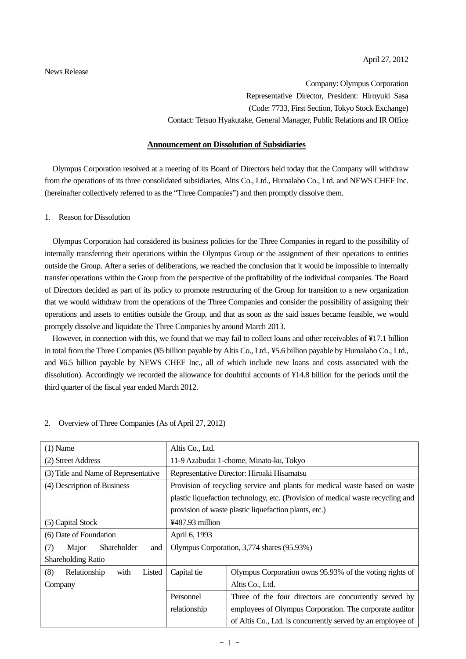News Release

Company: Olympus Corporation Representative Director, President: Hiroyuki Sasa (Code: 7733, First Section, Tokyo Stock Exchange) Contact: Tetsuo Hyakutake, General Manager, Public Relations and IR Office

## **Announcement on Dissolution of Subsidiaries**

Olympus Corporation resolved at a meeting of its Board of Directors held today that the Company will withdraw from the operations of its three consolidated subsidiaries, Altis Co., Ltd., Humalabo Co., Ltd. and NEWS CHEF Inc. (hereinafter collectively referred to as the "Three Companies") and then promptly dissolve them.

## 1. Reason for Dissolution

Olympus Corporation had considered its business policies for the Three Companies in regard to the possibility of internally transferring their operations within the Olympus Group or the assignment of their operations to entities outside the Group. After a series of deliberations, we reached the conclusion that it would be impossible to internally transfer operations within the Group from the perspective of the profitability of the individual companies. The Board of Directors decided as part of its policy to promote restructuring of the Group for transition to a new organization that we would withdraw from the operations of the Three Companies and consider the possibility of assigning their operations and assets to entities outside the Group, and that as soon as the said issues became feasible, we would promptly dissolve and liquidate the Three Companies by around March 2013.

However, in connection with this, we found that we may fail to collect loans and other receivables of ¥17.1 billion in total from the Three Companies (¥5 billion payable by Altis Co., Ltd., ¥5.6 billion payable by Humalabo Co., Ltd., and ¥6.5 billion payable by NEWS CHEF Inc., all of which include new loans and costs associated with the dissolution). Accordingly we recorded the allowance for doubtful accounts of ¥14.8 billion for the periods until the third quarter of the fiscal year ended March 2012.

| $(1)$ Name                            | Altis Co., Ltd.                                                                 |                                                         |  |
|---------------------------------------|---------------------------------------------------------------------------------|---------------------------------------------------------|--|
| (2) Street Address                    | 11-9 Azabudai 1-chome, Minato-ku, Tokyo                                         |                                                         |  |
| (3) Title and Name of Representative  | Representative Director: Hiroaki Hisamatsu                                      |                                                         |  |
| (4) Description of Business           | Provision of recycling service and plants for medical waste based on waste      |                                                         |  |
|                                       | plastic liquefaction technology, etc. (Provision of medical waste recycling and |                                                         |  |
|                                       | provision of waste plastic liquefaction plants, etc.)                           |                                                         |  |
| (5) Capital Stock                     | ¥487.93 million                                                                 |                                                         |  |
| (6) Date of Foundation                | April 6, 1993                                                                   |                                                         |  |
| (7)<br>Shareholder<br>Major<br>and    | Olympus Corporation, 3,774 shares (95.93%)                                      |                                                         |  |
| <b>Shareholding Ratio</b>             |                                                                                 |                                                         |  |
| (8)<br>Relationship<br>with<br>Listed | Capital tie                                                                     | Olympus Corporation owns 95.93% of the voting rights of |  |
| Company                               |                                                                                 | Altis Co., Ltd.                                         |  |
|                                       | Personnel                                                                       | Three of the four directors are concurrently served by  |  |
|                                       | relationship                                                                    | employees of Olympus Corporation. The corporate auditor |  |
|                                       | of Altis Co., Ltd. is concurrently served by an employee of                     |                                                         |  |

#### 2. Overview of Three Companies (As of April 27, 2012)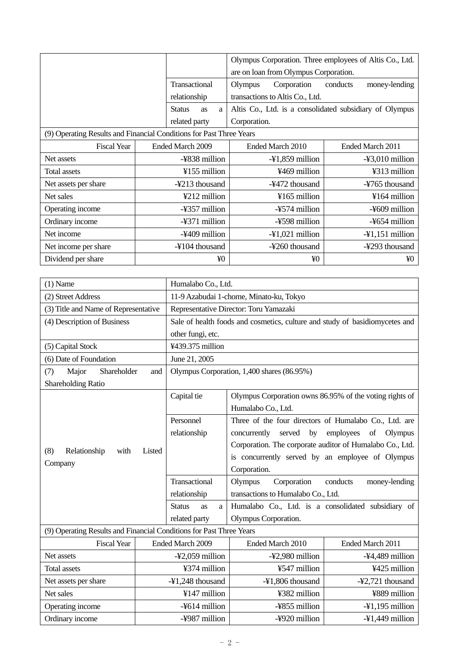|                                                                     | Olympus Corporation. Three employees of Altis Co., Ltd. |                                 |                                                         |                           |  |  |
|---------------------------------------------------------------------|---------------------------------------------------------|---------------------------------|---------------------------------------------------------|---------------------------|--|--|
|                                                                     |                                                         |                                 | are on loan from Olympus Corporation.                   |                           |  |  |
|                                                                     |                                                         | Transactional                   | Corporation<br>Olympus                                  | conducts<br>money-lending |  |  |
|                                                                     |                                                         | relationship                    | transactions to Altis Co., Ltd.                         |                           |  |  |
|                                                                     |                                                         | <b>Status</b><br><b>as</b><br>a | Altis Co., Ltd. is a consolidated subsidiary of Olympus |                           |  |  |
|                                                                     |                                                         | related party                   | Corporation.                                            |                           |  |  |
| (9) Operating Results and Financial Conditions for Past Three Years |                                                         |                                 |                                                         |                           |  |  |
| <b>Fiscal Year</b>                                                  | Ended March 2009                                        |                                 | Ended March 2010                                        | Ended March 2011          |  |  |
| Net assets                                                          | -¥838 million                                           |                                 | $-41,859$ million                                       | $-43,010$ million         |  |  |
| Total assets                                                        | ¥155 million                                            |                                 | ¥469 million                                            | ¥313 million              |  |  |
| Net assets per share                                                | -¥213 thousand                                          |                                 | -¥472 thousand                                          | -¥765 thousand            |  |  |
| Net sales                                                           | $\frac{1}{2}$ 212 million                               |                                 | $4165$ million                                          | ¥164 million              |  |  |
| Operating income                                                    | -¥357 million                                           |                                 | -¥574 million                                           | -¥609 million             |  |  |
| Ordinary income                                                     |                                                         | -¥371 million                   | -¥598 million                                           | -¥654 million             |  |  |
| Net income                                                          |                                                         | -¥409 million                   | $-41,021$ million                                       | $-41,151$ million         |  |  |
| Net income per share                                                |                                                         | $-\frac{1}{2}104$ thousand      | -¥260 thousand                                          | -¥293 thousand            |  |  |
| Dividend per share                                                  | ¥0<br>¥0<br>¥0                                          |                                 |                                                         |                           |  |  |

| $(1)$ Name                                                          | Humalabo Co., Ltd.                                                          |                                                            |                   |  |
|---------------------------------------------------------------------|-----------------------------------------------------------------------------|------------------------------------------------------------|-------------------|--|
| (2) Street Address                                                  | 11-9 Azabudai 1-chome, Minato-ku, Tokyo                                     |                                                            |                   |  |
| (3) Title and Name of Representative                                | Representative Director: Toru Yamazaki                                      |                                                            |                   |  |
| (4) Description of Business                                         | Sale of health foods and cosmetics, culture and study of basidiomycetes and |                                                            |                   |  |
|                                                                     | other fungi, etc.                                                           |                                                            |                   |  |
| (5) Capital Stock                                                   | ¥439.375 million                                                            |                                                            |                   |  |
| (6) Date of Foundation                                              | June 21, 2005                                                               |                                                            |                   |  |
| Major<br>Shareholder<br>(7)<br>and                                  |                                                                             | Olympus Corporation, 1,400 shares (86.95%)                 |                   |  |
| Shareholding Ratio                                                  |                                                                             |                                                            |                   |  |
|                                                                     | Capital tie                                                                 | Olympus Corporation owns 86.95% of the voting rights of    |                   |  |
|                                                                     |                                                                             | Humalabo Co., Ltd.                                         |                   |  |
|                                                                     | Personnel                                                                   | Three of the four directors of Humalabo Co., Ltd. are      |                   |  |
|                                                                     | relationship                                                                | served<br>by<br>employees<br>concurrently<br>of<br>Olympus |                   |  |
|                                                                     |                                                                             | Corporation. The corporate auditor of Humalabo Co., Ltd.   |                   |  |
| Relationship<br>(8)<br>with<br>Listed                               |                                                                             | is concurrently served by an employee of Olympus           |                   |  |
| Company                                                             |                                                                             | Corporation.                                               |                   |  |
|                                                                     | Transactional                                                               | Corporation<br>Olympus<br>conducts<br>money-lending        |                   |  |
|                                                                     | relationship                                                                | transactions to Humalabo Co., Ltd.                         |                   |  |
|                                                                     | <b>Status</b><br>as<br>a                                                    | Humalabo Co., Ltd. is a consolidated subsidiary of         |                   |  |
|                                                                     | related party                                                               | Olympus Corporation.                                       |                   |  |
| (9) Operating Results and Financial Conditions for Past Three Years |                                                                             |                                                            |                   |  |
| <b>Fiscal Year</b>                                                  | Ended March 2009                                                            | Ended March 2010                                           | Ended March 2011  |  |
| Net assets                                                          | $-42,059$ million                                                           | -¥2,980 million                                            | -¥4,489 million   |  |
| <b>Total assets</b>                                                 | ¥374 million                                                                | ¥547 million                                               | ¥425 million      |  |
| Net assets per share                                                | -¥1,248 thousand                                                            | -¥1,806 thousand                                           | -¥2,721 thousand  |  |
| Net sales                                                           | ¥147 million                                                                | ¥382 million                                               | ¥889 million      |  |
| Operating income                                                    | -¥614 million                                                               | -¥855 million                                              | $-41,195$ million |  |
| Ordinary income                                                     | -¥987 million                                                               | -¥920 million                                              | $-41,449$ million |  |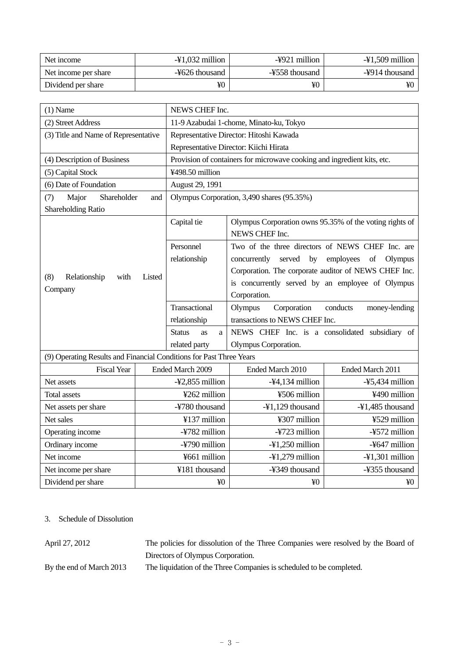| Net income           | $-\frac{1}{2}1,032$ million | -¥921 million  | $-\frac{1}{2}1,509$ million |
|----------------------|-----------------------------|----------------|-----------------------------|
| Net income per share | -¥626 thousand              | -¥558 thousand | -¥914 thousand              |
| Dividend per share   | ¥0                          | ¥O             | ¥0                          |

| $(1)$ Name                                                          | NEWS CHEF Inc.                             |                                                                         |                  |  |  |
|---------------------------------------------------------------------|--------------------------------------------|-------------------------------------------------------------------------|------------------|--|--|
| (2) Street Address                                                  | 11-9 Azabudai 1-chome, Minato-ku, Tokyo    |                                                                         |                  |  |  |
| (3) Title and Name of Representative                                | Representative Director: Hitoshi Kawada    |                                                                         |                  |  |  |
|                                                                     | Representative Director: Kiichi Hirata     |                                                                         |                  |  |  |
| (4) Description of Business                                         |                                            | Provision of containers for microwave cooking and ingredient kits, etc. |                  |  |  |
| (5) Capital Stock                                                   | ¥498.50 million                            |                                                                         |                  |  |  |
| (6) Date of Foundation                                              | August 29, 1991                            |                                                                         |                  |  |  |
| Major<br>Shareholder<br>(7)<br>and                                  | Olympus Corporation, 3,490 shares (95.35%) |                                                                         |                  |  |  |
| Shareholding Ratio                                                  |                                            |                                                                         |                  |  |  |
|                                                                     | Capital tie                                | Olympus Corporation owns 95.35% of the voting rights of                 |                  |  |  |
|                                                                     |                                            | NEWS CHEF Inc.                                                          |                  |  |  |
|                                                                     | Personnel                                  | Two of the three directors of NEWS CHEF Inc. are                        |                  |  |  |
|                                                                     | relationship                               | served<br>concurrently<br>by<br>employees<br>of<br>Olympus              |                  |  |  |
| Relationship<br>(8)<br>with                                         |                                            | Corporation. The corporate auditor of NEWS CHEF Inc.                    |                  |  |  |
| Listed                                                              |                                            | is concurrently served by an employee of Olympus                        |                  |  |  |
| Company                                                             |                                            | Corporation.                                                            |                  |  |  |
|                                                                     | Transactional                              | Corporation<br>Olympus<br>conducts<br>money-lending                     |                  |  |  |
|                                                                     | relationship                               | transactions to NEWS CHEF Inc.                                          |                  |  |  |
|                                                                     | <b>Status</b><br>as<br>a                   | NEWS CHEF Inc. is a consolidated subsidiary of                          |                  |  |  |
|                                                                     | related party                              | Olympus Corporation.                                                    |                  |  |  |
| (9) Operating Results and Financial Conditions for Past Three Years |                                            |                                                                         |                  |  |  |
| <b>Fiscal Year</b>                                                  | Ended March 2009                           | Ended March 2010                                                        | Ended March 2011 |  |  |
| Net assets                                                          | -¥2,855 million                            | $-44,134$ million                                                       | -¥5,434 million  |  |  |
| Total assets                                                        | ¥262 million                               | ¥506 million                                                            | ¥490 million     |  |  |
| Net assets per share                                                | -¥780 thousand                             | $-41,129$ thousand                                                      | -¥1,485 thousand |  |  |
| Net sales                                                           | ¥137 million                               | ¥307 million                                                            | ¥529 million     |  |  |
| Operating income                                                    | -¥782 million                              | -¥723 million                                                           | -¥572 million    |  |  |
| Ordinary income                                                     | -¥790 million                              | $-41,250$ million                                                       | -¥647 million    |  |  |
| Net income                                                          | ¥661 million                               | -¥1,279 million                                                         | -¥1,301 million  |  |  |
| Net income per share                                                | ¥181 thousand                              | -¥349 thousand                                                          | -¥355 thousand   |  |  |
| Dividend per share                                                  | ¥ <sub>0</sub>                             | ¥ <sub>0</sub>                                                          | ¥0               |  |  |

# 3. Schedule of Dissolution

April 27, 2012 The policies for dissolution of the Three Companies were resolved by the Board of Directors of Olympus Corporation.

By the end of March 2013 The liquidation of the Three Companies is scheduled to be completed.